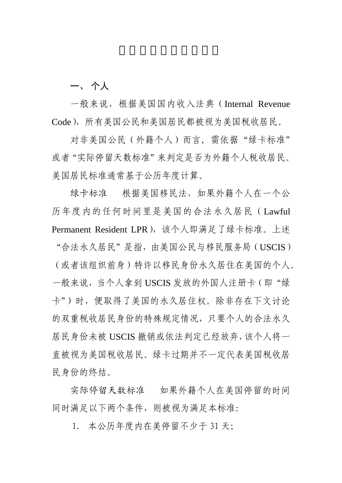一、 个人

 一般来说,根据美国国内收入法典(Internal Revenue Code),所有美国公民和美国居民都被视为美国税收居民。

对非美国公民(外籍个人)而言,需依据"绿卡标准" 或者"实际停留天数标准"来判定是否为外籍个人税收居民。 美国居民标准通常基于公历年度计算。

 绿卡标准 根据美国移民法,如果外籍个人在一个公 历年度内的任何时间里是美国的合法永久居民(Lawful Permanent Resident LPR), 该个人即满足了绿卡标准。上述 "合法永久居民"是指,由美国公民与移民服务局(USCIS) (或者该组织前身)特许以移民身份永久居住在美国的个人。 一般来说,当个人拿到 USCIS 发放的外国人注册卡(即"绿 卡")时,便取得了美国的永久居住权。除非存在下文讨论 的双重税收居民身份的特殊规定情况,只要个人的合法永久 居民身份未被 USCIS 撤销或依法判定已经放弃,该个人将一 直被视为美国税收居民。绿卡过期并不一定代表美国税收居 民身份的终结。

实际停留天数标准 如果外籍个人在美国停留的时间 同时满足以下两个条件,则被视为满足本标准:

1. 本公历年度内在美停留不少于 31 天;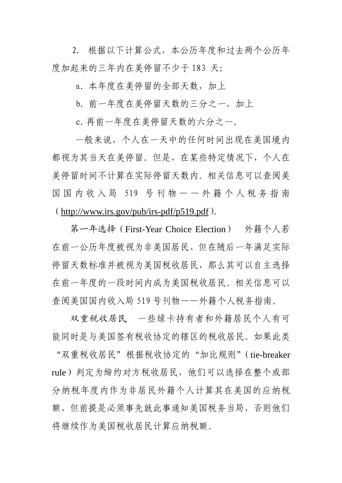2. 根据以下计算公式,本公历年度和过去两个公历年 度加起来的三年内在美停留不少于 183 天:

a. 本年度在美停留的全部天数, 加上

b. 前一年度在美停留天数的三分之一, 加上

c.再前一年度在美停留天数的六分之一。

 一般来说,个人在一天中的任何时间出现在美国境内 都视为其当天在美停留。但是,在某些特定情况下,个人在 美停留时间不计算在实际停留天数内。相关信息可以查阅美 国国内收入局 519 号刊物 — 一外籍个人税务指南  $(\text{http://www.irs.gov/pub/irs.pdf}/p519.pdf)$ 

 第一年选择(First-Year Choice Election) 外籍个人若 在前一公历年度被视为非美国居民、但在随后一年满足实际 停留天数标准并被视为美国税收居民,那么其可以自主选择 在前一年度的一段时间内成为美国税收居民。相关信息可以 查阅美国国内收入局 519 号刊物——外籍个人税务指南。

 双重税收居民 一些绿卡持有者和外籍居民个人有可 能同时是与美国签有税收协定的辖区的税收居民。如果此类 "双重税收居民"根据税收协定的"加比规则"(tie-breaker rule)判定为缔约对方税收居民,他们可以选择在整个或部 分纳税年度内作为非居民外籍个人计算其在美国的应纳税 额,但前提是必须事先就此事通知美国税务当局,否则他们 将继续作为美国税收居民计算应纳税额。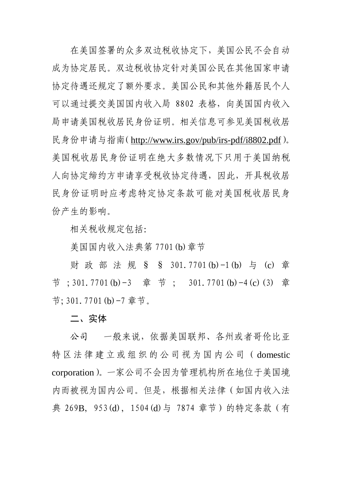在美国签署的众多双边税收协定下,美国公民不会自动 成为协定居民。双边税收协定针对美国公民在其他国家申请 协定待遇还规定了额外要求。美国公民和其他外籍居民个人 可以通过提交美国国内收入局 8802 表格,向美国国内收入 局申请美国税收居民身份证明。相关信息可参见美国税收居 民身份申请与指南(<http://www.irs.gov/pub/irs-pdf/i8802.pdf>)。 美国税收居民身份证明在绝大多数情况下只用于美国纳税 人向协定缔约方申请享受税收协定待遇,因此,开具税收居 民身份证明时应考虑特定协定条款可能对美国税收居民身 份产生的影响。

相关税收规定包括:

美国国内收入法典第 7701(b)章节

 财政部法规 § § 301.7701(b)-1(b) 与 (c) 章 节 ;301.7701(b)-3 章 节 ; 301.7701(b)-4(c)(3) 章 节;301.7701(b)-7 章节。

二、实体

公司 一般来说,依据美国联邦、各州或者哥伦比亚 特区法律建立 或 组 织 的公司 视 为 国 内 公 司 ( domestic corporation)。一家公司不会因为管理机构所在地位于美国境 内而被视为国内公司。但是,根据相关法律(如国内收入法 典 269B, 953(d), 1504(d)与 7874 章节)的特定条款 (有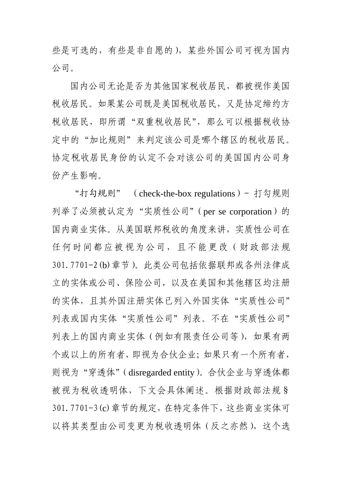些是可选的,有些是非自愿的),某些外国公司可视为国内 公司。

国内公司无论是否为其他国家税收居民,都被视作美国 税收居民。如果某公司既是美国税收居民,又是协定缔约方 税收居民,即所谓"双重税收居民",那么可以根据税收协 定中的"加比规则"来判定该公司是哪个辖区的税收居民。 协定税收居民身份的认定不会对该公司的美国国内公司身 份产生影响。

"打勾规则" (check-the-box regulations) - 打勾规则 列举了必须被认定为"实质性公司"(per se corporation)的 国内商业实体。从美国联邦税收的角度来讲,实质性公司在 任何时间都应被视为公司,且不能更改(财政部法规 301.7701-2(b)章节)。此类公司包括依据联邦或各州法律成 立的实体或公司、保险公司,以及在美国和其他辖区均注册 的实体,且其外国注册实体已列入外国实体"实质性公司" 列表或国内实体"实质性公司"列表。不在"实质性公司" 列表上的国内商业实体(例如有限责任公司等),如果有两 个或以上的所有者,即视为合伙企业;如果只有一个所有者, 则视为"穿透体"(disregarded entity)。合伙企业与穿透体都 被视为税收透明体,下文会具体阐述。根据财政部法规§ 301.7701-3(c)章节的规定,在特定条件下,这些商业实体可 以将其类型由公司变更为税收透明体(反之亦然),这个选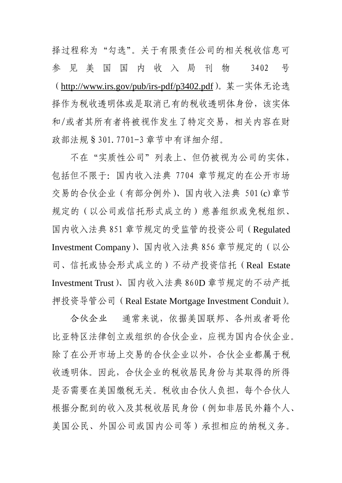择过程称为"勾选"。关于有限责任公司的相关税收信息可 参见美国国内收入局刊物 3402 号 (<http://www.irs.gov/pub/irs-pdf/p3402.pdf>)。某一实体无论选 择作为税收透明体或是取消已有的税收透明体身份,该实体 和/或者其所有者将被视作发生了特定交易,相关内容在财 政部法规§301.7701-3 章节中有详细介绍。

不在"实质性公司"列表上、但仍被视为公司的实体, 包括但不限于:国内收入法典 7704 章节规定的在公开市场 交易的合伙企业(有部分例外)、国内收入法典 501(c)章节 规定的(以公司或信托形式成立的)慈善组织或免税组织、 国内收入法典 851 章节规定的受监管的投资公司(Regulated Investment Company)、国内收入法典 856 章节规定的(以公 司、信托或协会形式成立的)不动产投资信托(Real Estate Investment Trust)、国内收入法典 860D 章节规定的不动产抵 押投资导管公司(Real Estate Mortgage Investment Conduit)。

合伙企业 通常来说,依据美国联邦、各州或者哥伦 比亚特区法律创立或组织的合伙企业,应视为国内合伙企业。 除了在公开市场上交易的合伙企业以外,合伙企业都属于税 收透明体。因此,合伙企业的税收居民身份与其取得的所得 是否需要在美国缴税无关。税收由合伙人负担,每个合伙人 根据分配到的收入及其税收居民身份(例如非居民外籍个人、 美国公民、外国公司或国内公司等)承担相应的纳税义务。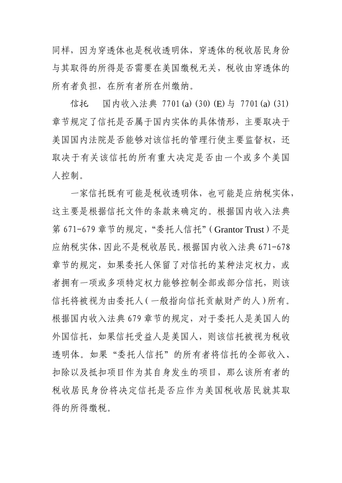同样,因为穿透体也是税收透明体,穿透体的税收居民身份 与其取得的所得是否需要在美国缴税无关,税收由穿透体的 所有者负担,在所有者所在州缴纳。

信托 国内收入法典 7701(a)(30)(E)与 7701(a)(31) 章节规定了信托是否属于国内实体的具体情形,主要取决于 美国国内法院是否能够对该信托的管理行使主要监督权,还 取决于有关该信托的所有重大决定是否由一个或多个美国 人控制。

一家信托既有可能是税收透明体,也可能是应纳税实体, 这主要是根据信托文件的条款来确定的。根据国内收入法典 第 671-679 章节的规定, "委托人信托"(Grantor Trust)不是 应纳税实体,因此不是税收居民。根据国内收入法典 671-678 章节的规定,如果委托人保留了对信托的某种法定权力,或 者拥有一项或多项特定权力能够控制全部或部分信托,则该 信托将被视为由委托人(一般指向信托贡献财产的人)所有。 根据国内收入法典 679 章节的规定,对于委托人是美国人的 外国信托,如果信托受益人是美国人,则该信托被视为税收 透明体。如果"委托人信托"的所有者将信托的全部收入、 扣除以及抵扣项目作为其自身发生的项目,那么该所有者的 税收居民身份将决定信托是否应作为美国税收居民就其取 得的所得缴税。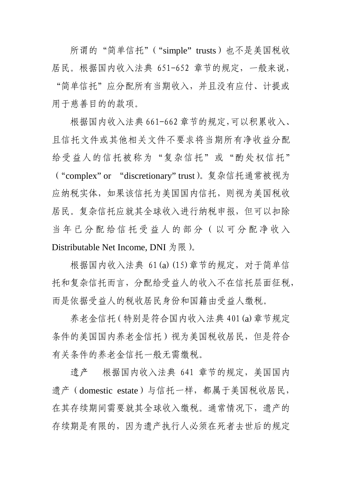所谓的"简单信托"("simple" trusts)也不是美国税收 居民。根据国内收入法典 651-652 章节的规定,一般来说, "简单信托"应分配所有当期收入,并且没有应付、计提或 用于慈善目的的款项。

根据国内收入法典 661-662 章节的规定,可以积累收入、 且信托文件或其他相关文件不要求将当期所有净收益分配 给受益人的信托被称为"复杂信托"或"酌处权信托" ("complex" or "discretionary" trust)。复杂信托通常被视为 应纳税实体,如果该信托为美国国内信托,则视为美国税收 居民。复杂信托应就其全球收入进行纳税申报,但可以扣除 当年已分配给信托受益人的部分(以可分配净收入 Distributable Net Income, DNI  $\frac{1}{2}$  限).

根据国内收入法典 61(a)(15)章节的规定,对于简单信 托和复杂信托而言,分配给受益人的收入不在信托层面征税, 而是依据受益人的税收居民身份和国籍由受益人缴税。

养老金信托(特别是符合国内收入法典 401(a)章节规定 条件的美国国内养老金信托)视为美国税收居民,但是符合 有关条件的养老金信托一般无需缴税。

遗产 根据国内收入法典 641 章节的规定,美国国内 遗产(domestic estate)与信托一样,都属于美国税收居民, 在其存续期间需要就其全球收入缴税。通常情况下,遗产的 存续期是有限的,因为遗产执行人必须在死者去世后的规定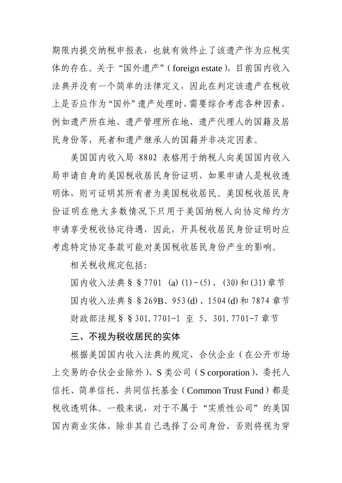期限内提交纳税申报表,也就有效终止了该遗产作为应税实 体的存在。关于"国外遗产"(foreign estate), 目前国内收入 法典并没有一个简单的法律定义,因此在判定该遗产在税收 上是否应作为"国外"遗产处理时,需要综合考虑各种因素, 例如遗产所在地、遗产管理所在地、遗产代理人的国籍及居 民身份等,死者和遗产继承人的国籍并非决定因素。

美国国内收入局 8802 表格用于纳税人向美国国内收入 局申请自身的美国税收居民身份证明,如果申请人是税收透 明体,则可证明其所有者为美国税收居民。美国税收居民身 份证明在绝大多数情况下只用于美国纳税人向协定缔约方 申请享受税收协定待遇,因此,开具税收居民身份证明时应 考虑特定协定条款可能对美国税收居民身份产生的影响。

相关税收规定包括:

国内收入法典§§7701 (a)(1)-(5)、(30)和(31)章节 国内收入法典§§269B、953(d)、1504(d)和 7874 章节 财政部法规§§301.7701-1 至 5、301.7701-7 章节

# 三、不视为税收居民的实体

根据美国国内收入法典的规定,合伙企业(在公开市场 上交易的合伙企业除外)、S 类公司(S corporation)、委托人 信托、简单信托、共同信托基金(Common Trust Fund)都是 税收透明体。一般来说,对于不属于"实质性公司"的美国 国内商业实体,除非其自己选择了公司身份,否则将视为穿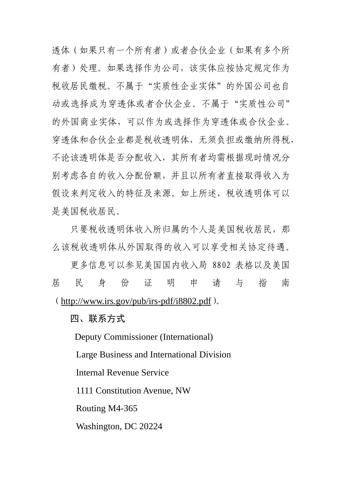透体(如果只有一个所有者)或者合伙企业(如果有多个所 有者)处理。如果选择作为公司,该实体应按协定规定作为 税收居民缴税。不属于"实质性企业实体"的外国公司也自 动或选择成为穿透体或者合伙企业。不属于"实质性公司" 的外国商业实体,可以作为或选择作为穿透体或合伙企业。 穿透体和合伙企业都是税收透明体,无须负担或缴纳所得税, 不论该透明体是否分配收入,其所有者均需根据现时情况分 别考虑各自的收入分配份额,并且以所有者直接取得收入为 假设来判定收入的特征及来源。如上所述,税收透明体可以 是美国税收居民。

只要税收透明体收入所归属的个人是美国税收居民,那 么该税收透明体从外国取得的收入可以享受相关协定待遇。

更多信息可以参见美国国内收入局 8802 表格以及美国 居民身份证 明 申 请 与 指 南 (<http://www.irs.gov/pub/irs-pdf/i8802.pdf>)。

四、联系方式

Deputy Commissioner (International)

Large Business and International Division

Internal Revenue Service

1111 Constitution Avenue, NW

Routing M4-365

Washington, DC 20224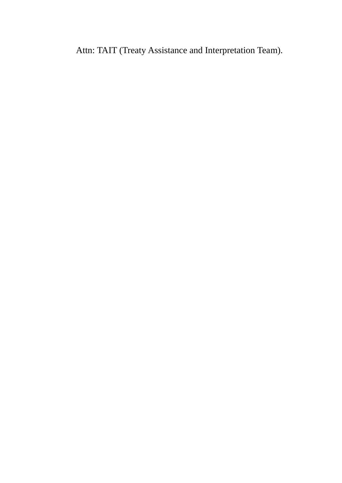Attn: TAIT (Treaty Assistance and Interpretation Team).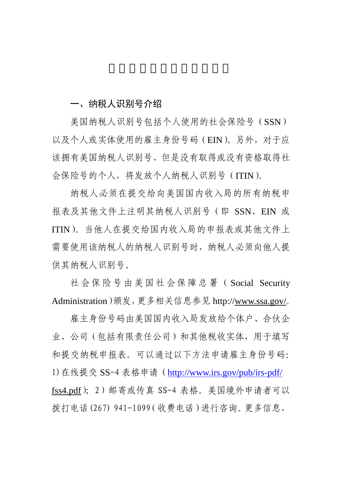# 一、纳税人识别号介绍

 美国纳税人识别号包括个人使用的社会保险号(SSN) 以及个人或实体使用的雇主身份号码(EIN)。另外,对于应 该拥有美国纳税人识别号、但是没有取得或没有资格取得社 会保险号的个人,将发放个人纳税人识别号(ITIN)。

 纳税人必须在提交给向美国国内收入局的所有纳税申 报表及其他文件上注明其纳税人识别号(即 SSN、EIN 或 ITIN)。当他人在提交给国内收入局的申报表或其他文件上 需要使用该纳税人的纳税人识别号时,纳税人必须向他人提 供其纳税人识别号。

 社会保险号由美国社会保障总署( Social Security Administration)颁发,更多相关信息参见 http:/[/www.ssa.gov/](http://www.ssa.gov/)。

雇主身份号码由美国国内收入局发放给个体户、合伙企 业、公司(包括有限责任公司)和其他税收实体,用于填写 和提交纳税申报表。可以通过以下方法申请雇主身份号码: 1)在线提交 SS-4 表格申请(<http://www.irs.gov/pub/irs-pdf/> fss4.pdf);2)邮寄或传真 SS-4 表格。美国境外申请者可以 拨打电话(267) 941-1099(收费电话)进行咨询。更多信息,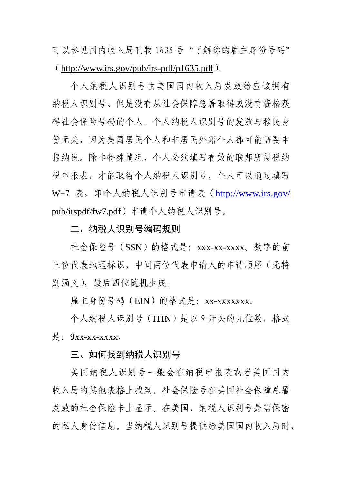可以参见国内收入局刊物 1635 号"了解你的雇主身份号码" (<http://www.irs.gov/pub/irs-pdf/p1635.pdf>)。

个人纳税人识别号由美国国内收入局发放给应该拥有 纳税人识别号、但是没有从社会保障总署取得或没有资格获 得社会保险号码的个人。个人纳税人识别号的发放与移民身 份无关,因为美国居民个人和非居民外籍个人都可能需要申 报纳税。除非特殊情况,个人必须填写有效的联邦所得税纳 税申报表,才能取得个人纳税人识别号。个人可以通过填写 W-7 表,即个人纳税人识别号申请表(<http://www.irs.gov/> pub/irspdf/fw7.pdf)申请个人纳税人识别号。

二、纳税人识别号编码规则

社会保险号(SSN)的格式是:xxx-xx-xxxx。数字的前 三位代表地理标识,中间两位代表申请人的申请顺序(无特 别涵义),最后四位随机生成。

雇主身份号码(EIN)的格式是:xx-xxxxxxx。

个人纳税人识别号(ITIN)是以 9 开头的九位数,格式  $\frac{1}{k}$ : 9xx-xx-xxxx。

三、如何找到纳税人识别号

美国纳税人识别号一般会在纳税申报表或者美国国内 收入局的其他表格上找到,社会保险号在美国社会保障总署 发放的社会保险卡上显示。在美国,纳税人识别号是需保密 的私人身份信息。当纳税人识别号提供给美国国内收入局时,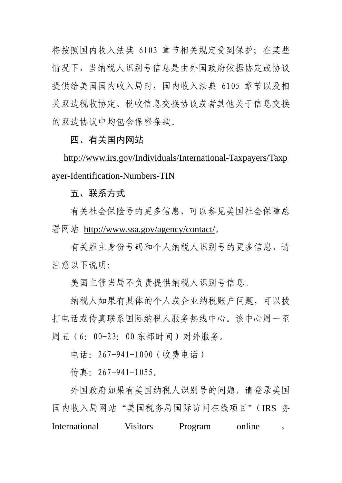将按照国内收入法典 6103 章节相关规定受到保护;在某些 情况下,当纳税人识别号信息是由外国政府依据协定或协议 提供给美国国内收入局时,国内收入法典 6105 章节以及相 关双边税收协定、税收信息交换协议或者其他关于信息交换 的双边协议中均包含保密条款。

# 四、有关国内网站

[http://www.irs.gov/Individuals/International-Taxpayers/Taxp](http://www.irs.gov/Individuals/International-Taxpayers/Taxpayer-Identification-Numbers-TIN) [ayer-Identification-Numbers-TIN](http://www.irs.gov/Individuals/International-Taxpayers/Taxpayer-Identification-Numbers-TIN)

# 五、联系方式

 有关社会保险号的更多信息,可以参见美国社会保障总 署网站 <http://www.ssa.gov/agency/contact/>。

有关雇主身份号码和个人纳税人识别号的更多信息,请 注意以下说明:

美国主管当局不负责提供纳税人识别号信息。

纳税人如果有具体的个人或企业纳税账户问题,可以拨 打电话或传真联系国际纳税人服务热线中心。该中心周一至 周五(6:00-23:00 东部时间)对外服务。

电话:267-941-1000(收费电话)

传真:267-941-1055。

 外国政府如果有美国纳税人识别号的问题,请登录美国 国内收入局网站"美国税务局国际访问在线项目"(IRS 务 International Visitors Program online ,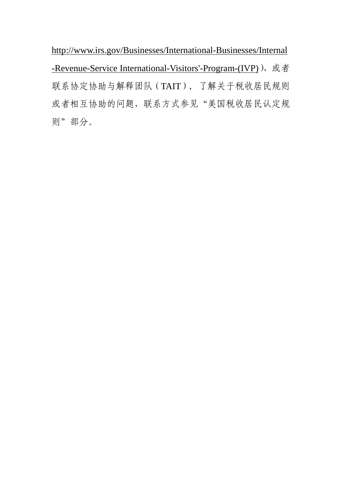http://www.irs.gov/Businesses/International-Businesses/Internal -Revenue-Service International-Visitors'-Program-(IVP)), 或者 联系协定协助与解释团队(TAIT), 了解关于税收居民规则 或者相互协助的问题,联系方式参见"美国税收居民认定规 则"部分。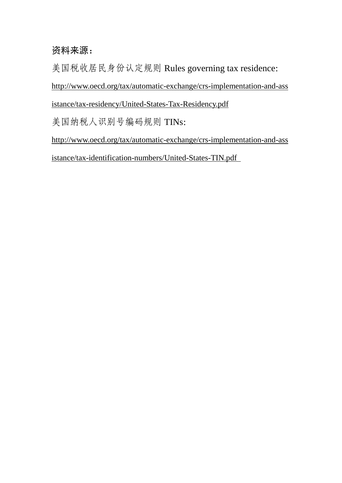# 资料来源:

美国税收居民身份认定规则 Rules governing tax residence: [http://www.oecd.org/tax/automatic-exchange/crs-implementation-and-ass](http://www.oecd.org/tax/automatic-exchange/crs-implementation-and-assistance/tax-residency/United-States-Tax-Residency.pdf) [istance/tax-residency/United-States-Tax-Residency.pdf](http://www.oecd.org/tax/automatic-exchange/crs-implementation-and-assistance/tax-residency/United-States-Tax-Residency.pdf) 美国纳税人识别号编码规则 TINs: [http://www.oecd.org/tax/automatic-exchange/crs-implementation-and-ass](http://www.oecd.org/tax/automatic-exchange/crs-implementation-and-assistance/tax-identification-numbers/United-States-TIN.pdf) [istance/tax-identification-numbers/United-States-TIN.pdf](http://www.oecd.org/tax/automatic-exchange/crs-implementation-and-assistance/tax-identification-numbers/United-States-TIN.pdf)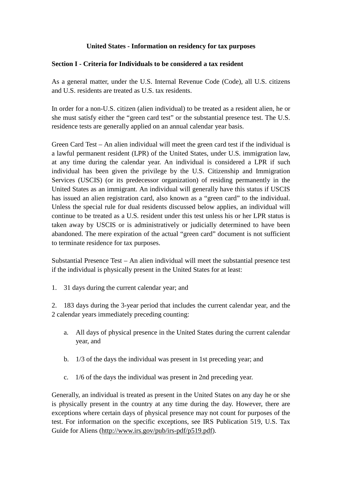# **United States - Information on residency for tax purposes**

### **Section I - Criteria for Individuals to be considered a tax resident**

As a general matter, under the U.S. Internal Revenue Code (Code), all U.S. citizens and U.S. residents are treated as U.S. tax residents.

In order for a non-U.S. citizen (alien individual) to be treated as a resident alien, he or she must satisfy either the "green card test" or the substantial presence test. The U.S. residence tests are generally applied on an annual calendar year basis.

Green Card Test – An alien individual will meet the green card test if the individual is a lawful permanent resident (LPR) of the United States, under U.S. immigration law, at any time during the calendar year. An individual is considered a LPR if such individual has been given the privilege by the U.S. Citizenship and Immigration Services (USCIS) (or its predecessor organization) of residing permanently in the United States as an immigrant. An individual will generally have this status if USCIS has issued an alien registration card, also known as a "green card" to the individual. Unless the special rule for dual residents discussed below applies, an individual will continue to be treated as a U.S. resident under this test unless his or her LPR status is taken away by USCIS or is administratively or judicially determined to have been abandoned. The mere expiration of the actual "green card" document is not sufficient to terminate residence for tax purposes.

Substantial Presence Test – An alien individual will meet the substantial presence test if the individual is physically present in the United States for at least:

1. 31 days during the current calendar year; and

2. 183 days during the 3-year period that includes the current calendar year, and the 2 calendar years immediately preceding counting:

- a. All days of physical presence in the United States during the current calendar year, and
- b. 1/3 of the days the individual was present in 1st preceding year; and
- c. 1/6 of the days the individual was present in 2nd preceding year.

Generally, an individual is treated as present in the United States on any day he or she is physically present in the country at any time during the day. However, there are exceptions where certain days of physical presence may not count for purposes of the test. For information on the specific exceptions, see IRS Publication 519, U.S. Tax Guide for Aliens [\(http://www.irs.gov/pub/irs-pdf/p519.pdf\)](http://www.irs.gov/pub/irs-pdf/p519.pdf).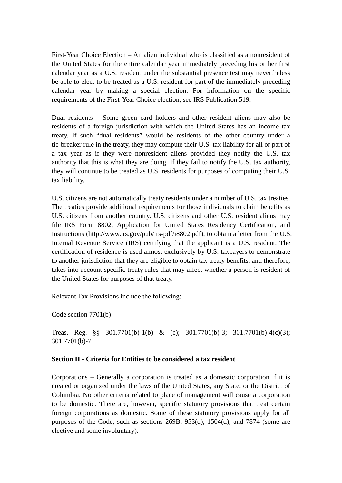First-Year Choice Election – An alien individual who is classified as a nonresident of the United States for the entire calendar year immediately preceding his or her first calendar year as a U.S. resident under the substantial presence test may nevertheless be able to elect to be treated as a U.S. resident for part of the immediately preceding calendar year by making a special election. For information on the specific requirements of the First-Year Choice election, see IRS Publication 519.

Dual residents – Some green card holders and other resident aliens may also be residents of a foreign jurisdiction with which the United States has an income tax treaty. If such "dual residents" would be residents of the other country under a tie-breaker rule in the treaty, they may compute their U.S. tax liability for all or part of a tax year as if they were nonresident aliens provided they notify the U.S. tax authority that this is what they are doing. If they fail to notify the U.S. tax authority, they will continue to be treated as U.S. residents for purposes of computing their U.S. tax liability.

U.S. citizens are not automatically treaty residents under a number of U.S. tax treaties. The treaties provide additional requirements for those individuals to claim benefits as U.S. citizens from another country. U.S. citizens and other U.S. resident aliens may file IRS Form 8802, Application for United States Residency Certification, and Instructions [\(http://www.irs.gov/pub/irs-pdf/i8802.pdf\)](http://www.irs.gov/pub/irs-pdf/i8802.pdf), to obtain a letter from the U.S. Internal Revenue Service (IRS) certifying that the applicant is a U.S. resident. The certification of residence is used almost exclusively by U.S. taxpayers to demonstrate to another jurisdiction that they are eligible to obtain tax treaty benefits, and therefore, takes into account specific treaty rules that may affect whether a person is resident of the United States for purposes of that treaty.

Relevant Tax Provisions include the following:

Code section 7701(b)

Treas. Reg. §§ 301.7701(b)-1(b) & (c); 301.7701(b)-3; 301.7701(b)-4(c)(3); 301.7701(b)-7

#### **Section II - Criteria for Entities to be considered a tax resident**

Corporations – Generally a corporation is treated as a domestic corporation if it is created or organized under the laws of the United States, any State, or the District of Columbia. No other criteria related to place of management will cause a corporation to be domestic. There are, however, specific statutory provisions that treat certain foreign corporations as domestic. Some of these statutory provisions apply for all purposes of the Code, such as sections 269B, 953(d), 1504(d), and 7874 (some are elective and some involuntary).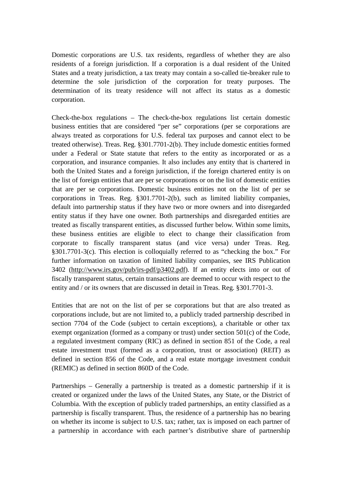Domestic corporations are U.S. tax residents, regardless of whether they are also residents of a foreign jurisdiction. If a corporation is a dual resident of the United States and a treaty jurisdiction, a tax treaty may contain a so-called tie-breaker rule to determine the sole jurisdiction of the corporation for treaty purposes. The determination of its treaty residence will not affect its status as a domestic corporation.

Check-the-box regulations – The check-the-box regulations list certain domestic business entities that are considered "per se" corporations (per se corporations are always treated as corporations for U.S. federal tax purposes and cannot elect to be treated otherwise). Treas. Reg. §301.7701-2(b). They include domestic entities formed under a Federal or State statute that refers to the entity as incorporated or as a corporation, and insurance companies. It also includes any entity that is chartered in both the United States and a foreign jurisdiction, if the foreign chartered entity is on the list of foreign entities that are per se corporations or on the list of domestic entities that are per se corporations. Domestic business entities not on the list of per se corporations in Treas. Reg. §301.7701-2(b), such as limited liability companies, default into partnership status if they have two or more owners and into disregarded entity status if they have one owner. Both partnerships and disregarded entities are treated as fiscally transparent entities, as discussed further below. Within some limits, these business entities are eligible to elect to change their classification from corporate to fiscally transparent status (and vice versa) under Treas. Reg. §301.7701-3(c). This election is colloquially referred to as "checking the box." For further information on taxation of limited liability companies, see IRS Publication 3402 [\(http://www.irs.gov/pub/irs-pdf/p3402.pdf\)](http://www.irs.gov/pub/irs-pdf/p3402.pdf). If an entity elects into or out of fiscally transparent status, certain transactions are deemed to occur with respect to the entity and / or its owners that are discussed in detail in Treas. Reg. §301.7701-3.

Entities that are not on the list of per se corporations but that are also treated as corporations include, but are not limited to, a publicly traded partnership described in section 7704 of the Code (subject to certain exceptions), a charitable or other tax exempt organization (formed as a company or trust) under section 501(c) of the Code, a regulated investment company (RIC) as defined in section 851 of the Code, a real estate investment trust (formed as a corporation, trust or association) (REIT) as defined in section 856 of the Code, and a real estate mortgage investment conduit (REMIC) as defined in section 860D of the Code.

Partnerships – Generally a partnership is treated as a domestic partnership if it is created or organized under the laws of the United States, any State, or the District of Columbia. With the exception of publicly traded partnerships, an entity classified as a partnership is fiscally transparent. Thus, the residence of a partnership has no bearing on whether its income is subject to U.S. tax; rather, tax is imposed on each partner of a partnership in accordance with each partner's distributive share of partnership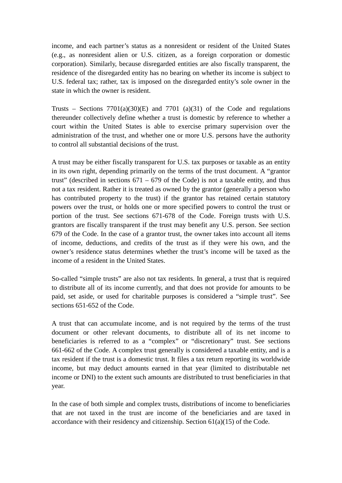income, and each partner's status as a nonresident or resident of the United States (e.g., as nonresident alien or U.S. citizen, as a foreign corporation or domestic corporation). Similarly, because disregarded entities are also fiscally transparent, the residence of the disregarded entity has no bearing on whether its income is subject to U.S. federal tax; rather, tax is imposed on the disregarded entity's sole owner in the state in which the owner is resident.

Trusts – Sections  $7701(a)(30)(E)$  and  $7701(a)(31)$  of the Code and regulations thereunder collectively define whether a trust is domestic by reference to whether a court within the United States is able to exercise primary supervision over the administration of the trust, and whether one or more U.S. persons have the authority to control all substantial decisions of the trust.

A trust may be either fiscally transparent for U.S. tax purposes or taxable as an entity in its own right, depending primarily on the terms of the trust document. A "grantor trust" (described in sections  $671 - 679$  of the Code) is not a taxable entity, and thus not a tax resident. Rather it is treated as owned by the grantor (generally a person who has contributed property to the trust) if the grantor has retained certain statutory powers over the trust, or holds one or more specified powers to control the trust or portion of the trust. See sections 671-678 of the Code. Foreign trusts with U.S. grantors are fiscally transparent if the trust may benefit any U.S. person. See section 679 of the Code. In the case of a grantor trust, the owner takes into account all items of income, deductions, and credits of the trust as if they were his own, and the owner's residence status determines whether the trust's income will be taxed as the income of a resident in the United States.

So-called "simple trusts" are also not tax residents. In general, a trust that is required to distribute all of its income currently, and that does not provide for amounts to be paid, set aside, or used for charitable purposes is considered a "simple trust". See sections 651-652 of the Code.

A trust that can accumulate income, and is not required by the terms of the trust document or other relevant documents, to distribute all of its net income to beneficiaries is referred to as a "complex" or "discretionary" trust. See sections 661-662 of the Code. A complex trust generally is considered a taxable entity, and is a tax resident if the trust is a domestic trust. It files a tax return reporting its worldwide income, but may deduct amounts earned in that year (limited to distributable net income or DNI) to the extent such amounts are distributed to trust beneficiaries in that year.

In the case of both simple and complex trusts, distributions of income to beneficiaries that are not taxed in the trust are income of the beneficiaries and are taxed in accordance with their residency and citizenship. Section  $61(a)(15)$  of the Code.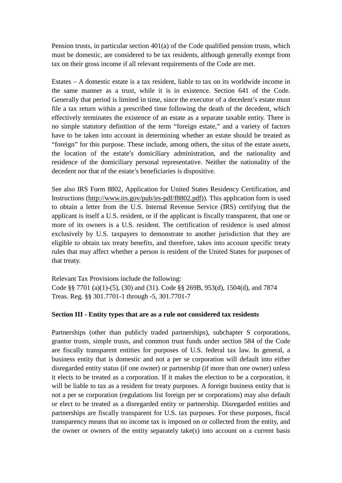Pension trusts, in particular section 401(a) of the Code qualified pension trusts, which must be domestic, are considered to be tax residents, although generally exempt from tax on their gross income if all relevant requirements of the Code are met.

Estates – A domestic estate is a tax resident, liable to tax on its worldwide income in the same manner as a trust, while it is in existence. Section 641 of the Code. Generally that period is limited in time, since the executor of a decedent's estate must file a tax return within a prescribed time following the death of the decedent, which effectively terminates the existence of an estate as a separate taxable entity. There is no simple statutory definition of the term "foreign estate," and a variety of factors have to be taken into account in determining whether an estate should be treated as "foreign" for this purpose. These include, among others, the situs of the estate assets, the location of the estate's domiciliary administration, and the nationality and residence of the domiciliary personal representative. Neither the nationality of the decedent nor that of the estate's beneficiaries is dispositive.

See also IRS Form 8802, Application for United States Residency Certification, and Instructions [\(http://www.irs.gov/pub/irs-pdf/f8802.pdf\)](http://www.irs.gov/pub/irs-pdf/f8802.pdf)). This application form is used to obtain a letter from the U.S. Internal Revenue Service (IRS) certifying that the applicant is itself a U.S. resident, or if the applicant is fiscally transparent, that one or more of its owners is a U.S. resident. The certification of residence is used almost exclusively by U.S. taxpayers to demonstrate to another jurisdiction that they are eligible to obtain tax treaty benefits, and therefore, takes into account specific treaty rules that may affect whether a person is resident of the United States for purposes of that treaty.

Relevant Tax Provisions include the following: Code §§ 7701 (a)(1)-(5), (30) and (31). Code §§ 269B, 953(d), 1504(d), and 7874 Treas. Reg. §§ 301.7701-1 through -5, 301.7701-7

#### **Section III - Entity types that are as a rule not considered tax residents**

Partnerships (other than publicly traded partnerships), subchapter S corporations, grantor trusts, simple trusts, and common trust funds under section 584 of the Code are fiscally transparent entities for purposes of U.S. federal tax law. In general, a business entity that is domestic and not a per se corporation will default into either disregarded entity status (if one owner) or partnership (if more than one owner) unless it elects to be treated as a corporation. If it makes the election to be a corporation, it will be liable to tax as a resident for treaty purposes. A foreign business entity that is not a per se corporation (regulations list foreign per se corporations) may also default or elect to be treated as a disregarded entity or partnership. Disregarded entities and partnerships are fiscally transparent for U.S. tax purposes. For these purposes, fiscal transparency means that no income tax is imposed on or collected from the entity, and the owner or owners of the entity separately take(s) into account on a current basis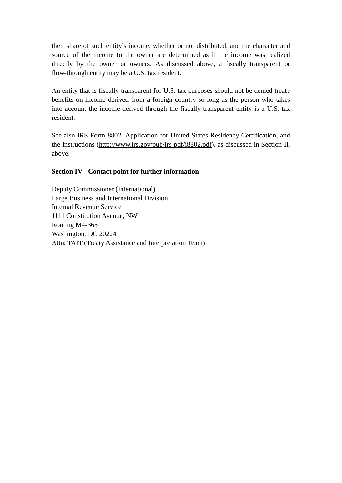their share of such entity's income, whether or not distributed, and the character and source of the income to the owner are determined as if the income was realized directly by the owner or owners. As discussed above, a fiscally transparent or flow-through entity may be a U.S. tax resident.

An entity that is fiscally transparent for U.S. tax purposes should not be denied treaty benefits on income derived from a foreign country so long as the person who takes into account the income derived through the fiscally transparent entity is a U.S. tax resident.

See also IRS Form 8802, Application for United States Residency Certification, and the Instructions [\(http://www.irs.gov/pub/irs-pdf/i8802.pdf\)](http://www.irs.gov/pub/irs-pdf/i8802.pdf), as discussed in Section II, above.

# **Section IV - Contact point for further information**

Deputy Commissioner (International) Large Business and International Division Internal Revenue Service 1111 Constitution Avenue, NW Routing M4-365 Washington, DC 20224 Attn: TAIT (Treaty Assistance and Interpretation Team)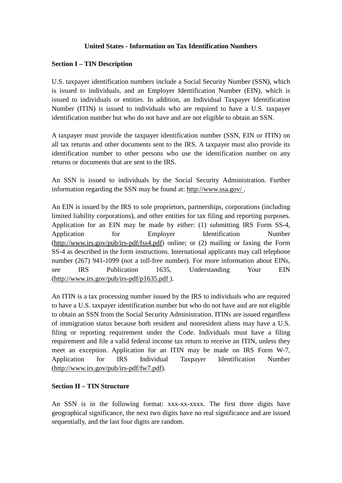# **United States - Information on Tax Identification Numbers**

# **Section I – TIN Description**

U.S. taxpayer identification numbers include a Social Security Number (SSN), which is issued to individuals, and an Employer Identification Number (EIN), which is issued to individuals or entities. In addition, an Individual Taxpayer Identification Number (ITIN) is issued to individuals who are required to have a U.S. taxpayer identification number but who do not have and are not eligible to obtain an SSN.

A taxpayer must provide the taxpayer identification number (SSN, EIN or ITIN) on all tax returns and other documents sent to the IRS. A taxpayer must also provide its identification number to other persons who use the identification number on any returns or documents that are sent to the IRS.

An SSN is issued to individuals by the Social Security Administration. Further information regarding the SSN may be found at: [http://www.ssa.gov/ .](http://www.ssa.gov/)

An EIN is issued by the IRS to sole proprietors, partnerships, corporations (including limited liability corporations), and other entities for tax filing and reporting purposes. Application for an EIN may be made by either: (1) submitting IRS Form SS-4, Application for Employer Identification Number [\(http://www.irs.gov/pub/irs-pdf/fss4.pdf\)](http://www.irs.gov/pub/irs-pdf/fss4.pdf) online; or (2) mailing or faxing the Form SS-4 as described in the form instructions. International applicants may call telephone number (267) 941-1099 (not a toll-free number). For more information about EINs, see IRS Publication 1635, Understanding Your EIN [\(http://www.irs.gov/pub/irs-pdf/p1635.pdf \)](http://www.irs.gov/pub/irs-pdf/p1635.pdf).

An ITIN is a tax processing number issued by the IRS to individuals who are required to have a U.S. taxpayer identification number but who do not have and are not eligible to obtain an SSN from the Social Security Administration. ITINs are issued regardless of immigration status because both resident and nonresident aliens may have a U.S. filing or reporting requirement under the Code. Individuals must have a filing requirement and file a valid federal income tax return to receive an ITIN, unless they meet an exception. Application for an ITIN may be made on IRS Form W-7, Application for IRS Individual Taxpayer Identification Number [\(http://www.irs.gov/pub/irs-pdf/fw7.pdf\)](http://www.irs.gov/pub/irs-pdf/fw7.pdf).

# **Section II – TIN Structure**

An SSN is in the following format: xxx-xx-xxxx. The first three digits have geographical significance, the next two digits have no real significance and are issued sequentially, and the last four digits are random.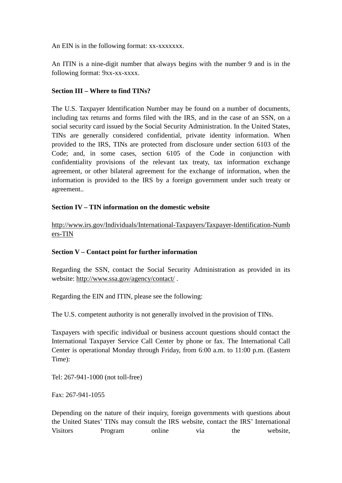An EIN is in the following format: xx-xxxxxxx.

An ITIN is a nine-digit number that always begins with the number 9 and is in the following format: 9xx-xx-xxxx.

# **Section III – Where to find TINs?**

The U.S. Taxpayer Identification Number may be found on a number of documents, including tax returns and forms filed with the IRS, and in the case of an SSN, on a social security card issued by the Social Security Administration. In the United States, TINs are generally considered confidential, private identity information. When provided to the IRS, TINs are protected from disclosure under section 6103 of the Code; and, in some cases, section 6105 of the Code in conjunction with confidentiality provisions of the relevant tax treaty, tax information exchange agreement, or other bilateral agreement for the exchange of information, when the information is provided to the IRS by a foreign government under such treaty or agreement..

# **Section IV – TIN information on the domestic website**

[http://www.irs.gov/Individuals/International-Taxpayers/Taxpayer-Identification-Numb](http://www.irs.gov/Individuals/International-Taxpayers/Taxpayer-Identification-Numbers-TIN) [ers-TIN](http://www.irs.gov/Individuals/International-Taxpayers/Taxpayer-Identification-Numbers-TIN)

# **Section V – Contact point for further information**

Regarding the SSN, contact the Social Security Administration as provided in its website:<http://www.ssa.gov/agency/contact/> .

Regarding the EIN and ITIN, please see the following:

The U.S. competent authority is not generally involved in the provision of TINs.

Taxpayers with specific individual or business account questions should contact the International Taxpayer Service Call Center by phone or fax. The International Call Center is operational Monday through Friday, from 6:00 a.m. to 11:00 p.m. (Eastern Time):

Tel: 267-941-1000 (not toll-free)

Fax: 267-941-1055

Depending on the nature of their inquiry, foreign governments with questions about the United States' TINs may consult the IRS website, contact the IRS' International Visitors Program online via the website,